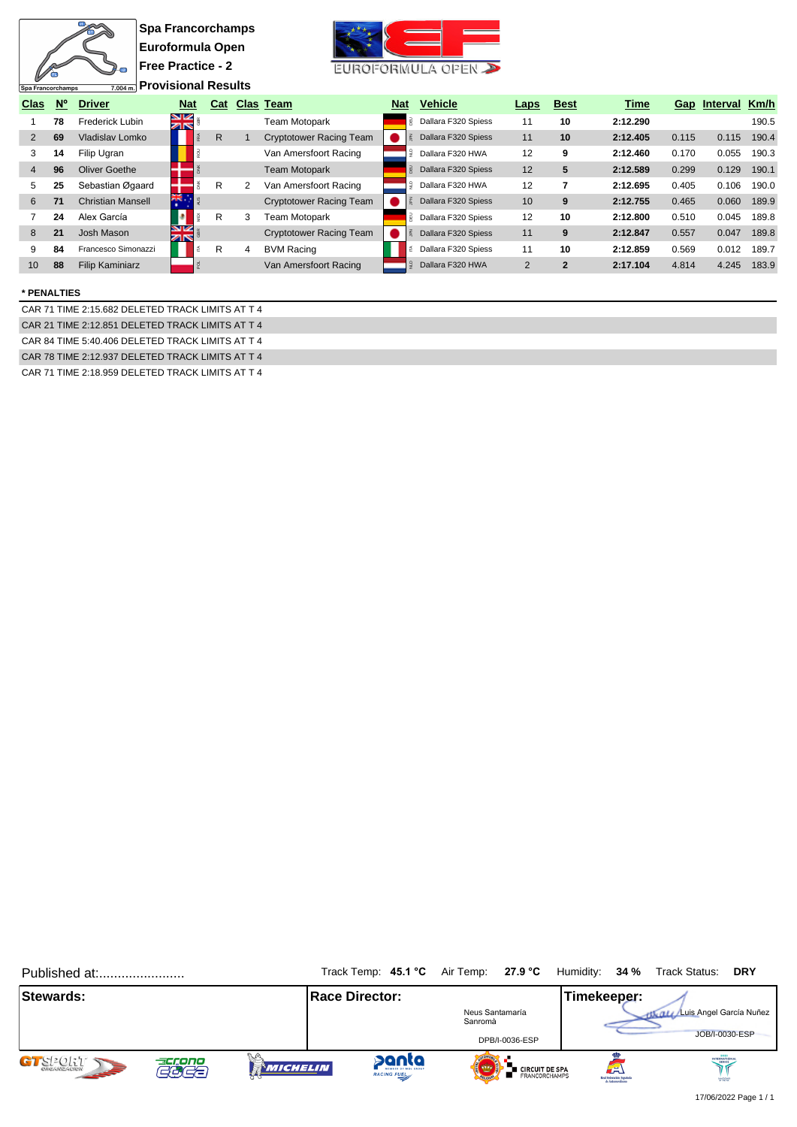| Spa Francorchamps |             | $\sqrt{2}$<br>7.004 m.   | <b>Spa Francorchamps</b><br>Euroformula Open<br><b>Free Practice - 2</b><br><b>Provisional Results</b> |              |                                |            | EUROFORMULA OPEN             |                |                |          |       |              |       |
|-------------------|-------------|--------------------------|--------------------------------------------------------------------------------------------------------|--------------|--------------------------------|------------|------------------------------|----------------|----------------|----------|-------|--------------|-------|
| <b>Clas</b>       | $N^{\circ}$ | <b>Driver</b>            | <b>Nat</b>                                                                                             | Cat          | <b>Clas Team</b>               | <b>Nat</b> | <b>Vehicle</b>               | <b>Laps</b>    | <b>Best</b>    | Time     |       | Gap Interval | Km/h  |
|                   | 78          | Frederick Lubin          | <u>ম</u><br>সাহ                                                                                        |              | Team Motopark                  |            | <b>B</b> Dallara F320 Spiess | 11             | 10             | 2:12.290 |       |              | 190.5 |
| $\overline{2}$    | 69          | Vladislav Lomko          |                                                                                                        | $\mathsf{R}$ | <b>Cryptotower Racing Team</b> |            | Dallara F320 Spiess          | 11             | 10             | 2:12.405 | 0.115 | 0.115        | 190.4 |
| 3                 | 14          | Filip Ugran              |                                                                                                        |              | Van Amersfoort Racing          |            | Dallara F320 HWA             | 12             | 9              | 2:12.460 | 0.170 | 0.055        | 190.3 |
| 4                 | 96          | Oliver Goethe            |                                                                                                        |              | Team Motopark                  |            | Dallara F320 Spiess          | 12             | 5              | 2:12.589 | 0.299 | 0.129        | 190.1 |
| 5                 | 25          | Sebastian Øgaard         |                                                                                                        | R.<br>2      | Van Amersfoort Racing          | ੂ          | Dallara F320 HWA             | 12             | 7              | 2:12.695 | 0.405 | 0.106        | 190.0 |
| 6                 | 71          | <b>Christian Mansell</b> | 茶亭                                                                                                     |              | <b>Cryptotower Racing Team</b> |            | Dallara F320 Spiess          | 10             | 9              | 2:12.755 | 0.465 | 0.060        | 189.9 |
|                   | 24          | Alex García              |                                                                                                        | R.<br>3      | <b>Team Motopark</b>           |            | <b>B</b> Dallara F320 Spiess | 12             | 10             | 2:12.800 | 0.510 | 0.045        | 189.8 |
| 8                 | 21          | Josh Mason               | 9K<br>ZN                                                                                               |              | <b>Cryptotower Racing Team</b> |            | Dallara F320 Spiess          | 11             | 9              | 2:12.847 | 0.557 | 0.047        | 189.8 |
| 9                 | 84          | Francesco Simonazzi      |                                                                                                        | R<br>4       | <b>BVM Racing</b>              | 좉          | Dallara F320 Spiess          | 11             | 10             | 2:12.859 | 0.569 | 0.012        | 189.7 |
| 10                | 88          | <b>Filip Kaminiarz</b>   |                                                                                                        |              | Van Amersfoort Racing          |            | Dallara F320 HWA             | $\overline{2}$ | $\overline{2}$ | 2:17.104 | 4.814 | 4.245        | 183.9 |

## **\* PENALTIES**

CAR 71 TIME 2:15.682 DELETED TRACK LIMITS AT T 4 CAR 21 TIME 2:12.851 DELETED TRACK LIMITS AT T 4 CAR 84 TIME 5:40.406 DELETED TRACK LIMITS AT T 4 CAR 78 TIME 2:12.937 DELETED TRACK LIMITS AT T 4 CAR 71 TIME 2:18.959 DELETED TRACK LIMITS AT T 4

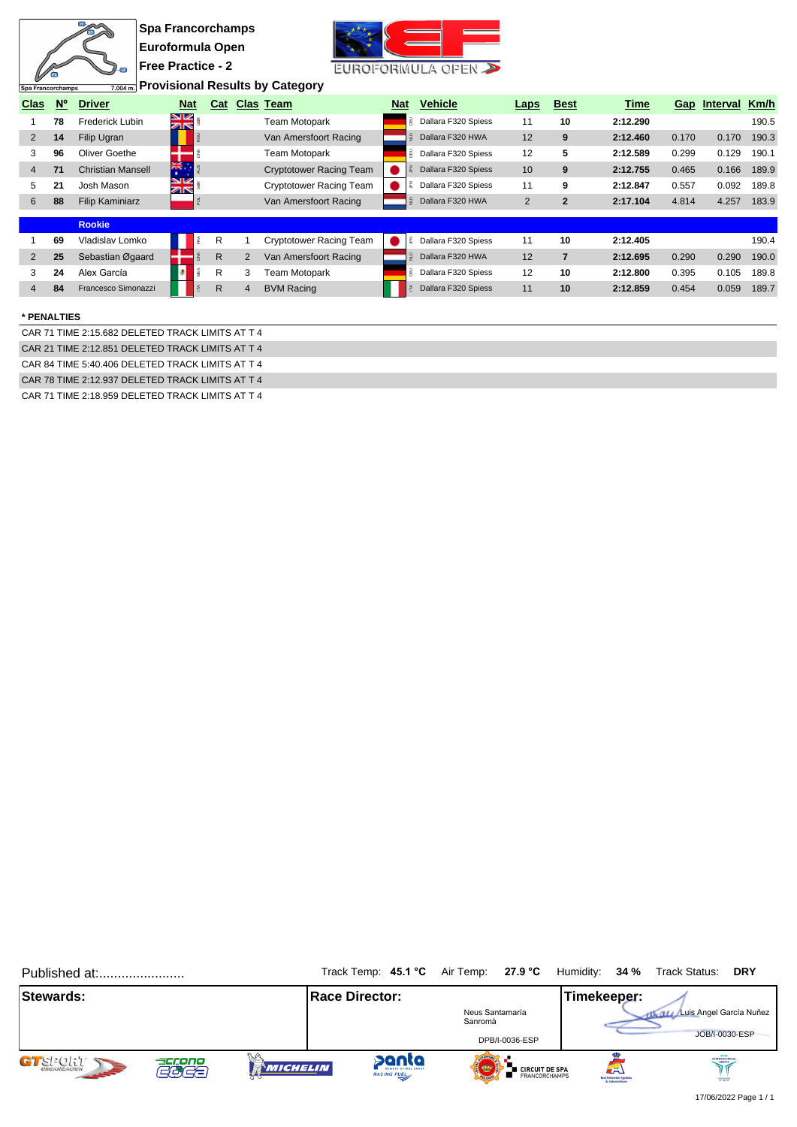| Spa Francorchamps |                | $\sqrt{2}$<br>7.004 m.   | <b>Spa Francorchamps</b><br>Euroformula Open<br>  Free Practice - 2 |            |              |                | <b>Provisional Results by Category</b> |               | EUROFORMULA OPEN      |                |                |          |       |                   |       |
|-------------------|----------------|--------------------------|---------------------------------------------------------------------|------------|--------------|----------------|----------------------------------------|---------------|-----------------------|----------------|----------------|----------|-------|-------------------|-------|
| Clas              | N <sup>o</sup> | <b>Driver</b>            |                                                                     | <b>Nat</b> |              |                | Cat Clas Team                          | <b>Nat</b>    | <b>Vehicle</b>        | <b>Laps</b>    | <b>Best</b>    | Time     |       | Gap Interval Km/h |       |
|                   | 78             | Frederick Lubin          | 92<br>$\overline{\mathbb{Z}}$                                       |            |              |                | <b>Team Motopark</b>                   |               | Dallara F320 Spiess   | 11             | 10             | 2:12.290 |       |                   | 190.5 |
| 2                 | 14             | Filip Ugran              |                                                                     |            |              |                | Van Amersfoort Racing                  |               | Dallara F320 HWA      | 12             | 9              | 2:12.460 | 0.170 | 0.170             | 190.3 |
| 3                 | 96             | Oliver Goethe            |                                                                     |            |              |                | Team Motopark                          |               | B Dallara F320 Spiess | 12             | 5              | 2:12.589 | 0.299 | 0.129             | 190.1 |
| $\overline{4}$    | 71             | <b>Christian Mansell</b> | ř.                                                                  |            |              |                | <b>Cryptotower Racing Team</b>         |               | Dallara F320 Spiess   | 10             | 9              | 2:12.755 | 0.465 | 0.166             | 189.9 |
| 5                 | 21             | Josh Mason               | SK<br>ZK                                                            |            |              |                | <b>Cryptotower Racing Team</b>         |               | Dallara F320 Spiess   | 11             | 9              | 2:12.847 | 0.557 | 0.092             | 189.8 |
| 6                 | 88             | <b>Filip Kaminiarz</b>   |                                                                     |            |              |                | Van Amersfoort Racing                  | $\frac{1}{2}$ | Dallara F320 HWA      | $\overline{2}$ | $\overline{2}$ | 2:17.104 | 4.814 | 4.257             | 183.9 |
|                   |                | <b>Rookie</b>            |                                                                     |            |              |                |                                        |               |                       |                |                |          |       |                   |       |
|                   | 69             | Vladislav Lomko          |                                                                     |            | R            |                | <b>Cryptotower Racing Team</b>         |               | Dallara F320 Spiess   | 11             | 10             | 2:12.405 |       |                   | 190.4 |
| 2                 | 25             | Sebastian Øgaard         |                                                                     |            | R            | $\overline{2}$ | Van Amersfoort Racing                  |               | Dallara F320 HWA      | 12             | $\overline{7}$ | 2:12.695 | 0.290 | 0.290             | 190.0 |
| 3                 | 24             | Alex García              |                                                                     |            | R            | 3              | Team Motopark                          |               | Dallara F320 Spiess   | 12             | 10             | 2:12.800 | 0.395 | 0.105             | 189.8 |
| $\overline{4}$    | 84             | Francesco Simonazzi      |                                                                     |            | $\mathsf{R}$ | 4              | <b>BVM Racing</b>                      |               | Dallara F320 Spiess   | 11             | 10             | 2:12.859 | 0.454 | 0.059             | 189.7 |
| * PENALTIES       |                |                          |                                                                     |            |              |                |                                        |               |                       |                |                |          |       |                   |       |

CAR 71 TIME 2:15.682 DELETED TRACK LIMITS AT T 4 CAR 21 TIME 2:12.851 DELETED TRACK LIMITS AT T 4 CAR 84 TIME 5:40.406 DELETED TRACK LIMITS AT T 4 CAR 78 TIME 2:12.937 DELETED TRACK LIMITS AT T 4

 $\sqrt{ }$ 

CAR 71 TIME 2:18.959 DELETED TRACK LIMITS AT T 4

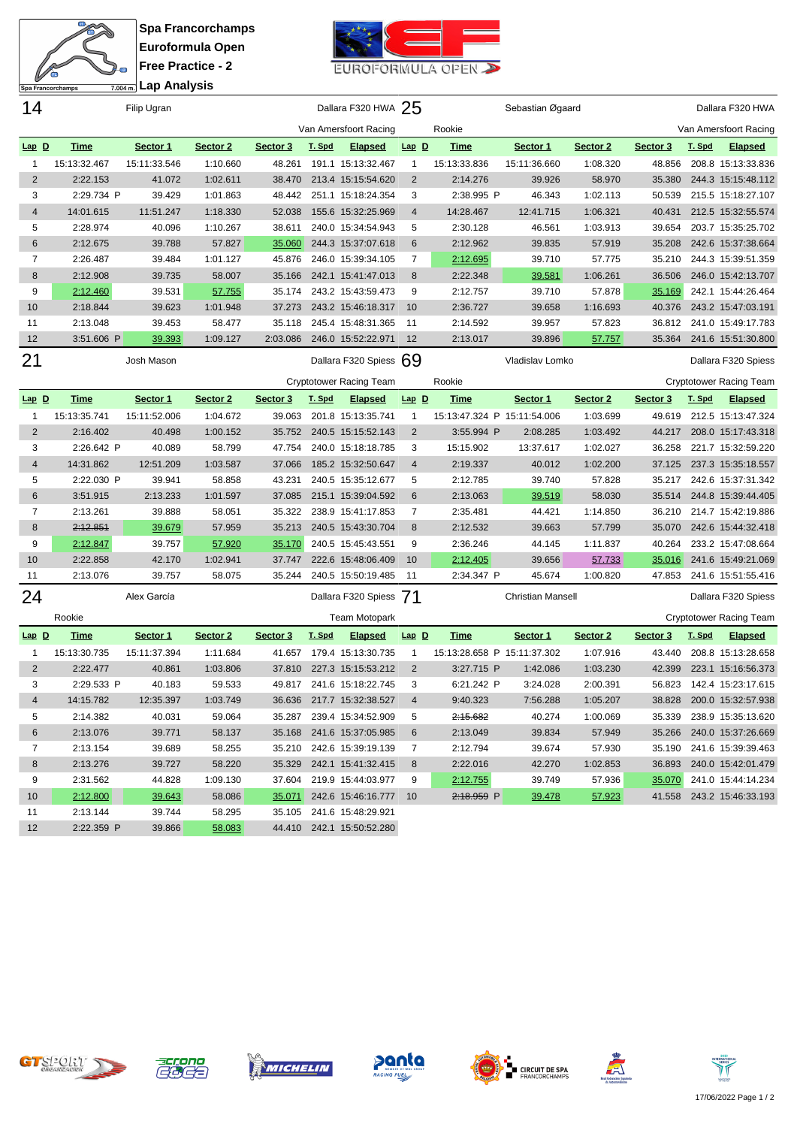**Spa Francorchamps Euroformula Open Free Practice - 2**  $\overline{2}$ **Lap Analysis**

 $\overline{\mathbf{u}}$ 衙

Spa Francorchamps



| 14             |              | Filip Ugran   |          |          |        | Dallara F320 HWA 25            |                |                             | Sebastian Øgaard         |          |          |        | Dallara F320 HWA               |
|----------------|--------------|---------------|----------|----------|--------|--------------------------------|----------------|-----------------------------|--------------------------|----------|----------|--------|--------------------------------|
|                |              |               |          |          |        | Van Amersfoort Racing          |                | Rookie                      |                          |          |          |        | Van Amersfoort Racing          |
| $Lap$ $D$      | <b>Time</b>  | Sector 1      | Sector 2 | Sector 3 | T. Spd | <b>Elapsed</b>                 | $Lap$ $D$      | <b>Time</b>                 | Sector 1                 | Sector 2 | Sector 3 | T. Spd | <b>Elapsed</b>                 |
| 1              | 15:13:32.467 | 15:11:33.546  | 1:10.660 | 48.261   |        | 191.1 15:13:32.467             | -1             | 15:13:33.836                | 15:11:36.660             | 1:08.320 | 48.856   |        | 208.8 15:13:33.836             |
| 2              | 2:22.153     | 41.072        | 1:02.611 | 38.470   |        | 213.4 15:15:54.620             | $\overline{2}$ | 2:14.276                    | 39.926                   | 58.970   | 35.380   |        | 244.3 15:15:48.112             |
| 3              | 2:29.734 P   | 39.429        | 1:01.863 | 48.442   |        | 251.1 15:18:24.354             | 3              | 2:38.995 P                  | 46.343                   | 1:02.113 | 50.539   |        | 215.5 15:18:27.107             |
| $\overline{4}$ | 14:01.615    | 11:51.247     | 1:18.330 | 52.038   |        | 155.6 15:32:25.969             | $\overline{4}$ | 14:28.467                   | 12:41.715                | 1:06.321 | 40.431   |        | 212.5 15:32:55.574             |
| 5              | 2:28.974     | 40.096        | 1:10.267 | 38.611   |        | 240.0 15:34:54.943             | 5              | 2:30.128                    | 46.561                   | 1:03.913 | 39.654   |        | 203.7 15:35:25.702             |
| 6              | 2:12.675     | 39.788        | 57.827   | 35.060   |        | 244.3 15:37:07.618             | 6              | 2:12.962                    | 39.835                   | 57.919   | 35.208   |        | 242.6 15:37:38.664             |
| 7              | 2:26.487     | 39.484        | 1:01.127 | 45.876   |        | 246.0 15:39:34.105             | 7              | 2:12.695                    | 39.710                   | 57.775   | 35.210   |        | 244.3 15:39:51.359             |
| 8              | 2:12.908     | 39.735        | 58.007   | 35.166   |        | 242.1 15:41:47.013             | 8              | 2:22.348                    | 39.581                   | 1:06.261 | 36.506   |        | 246.0 15:42:13.707             |
| 9              | 2:12.460     | 39.531        | 57.755   | 35.174   |        | 243.2 15:43:59.473             | 9              | 2:12.757                    | 39.710                   | 57.878   | 35.169   |        | 242.1 15:44:26.464             |
| 10             | 2:18.844     | 39.623        | 1:01.948 | 37.273   |        | 243.2 15:46:18.317             | 10             | 2:36.727                    | 39.658                   | 1:16.693 | 40.376   |        | 243.2 15:47:03.191             |
| 11             | 2:13.048     | 39.453        | 58.477   | 35.118   |        | 245.4 15:48:31.365             | -11            | 2:14.592                    | 39.957                   | 57.823   | 36.812   |        | 241.0 15:49:17.783             |
| 12             | 3:51.606 P   | <u>39.393</u> | 1:09.127 | 2:03.086 |        | 246.0 15:52:22.971             | 12             | 2:13.017                    | 39.896                   | 57.757   | 35.364   |        | 241.6 15:51:30.800             |
| 21             |              | Josh Mason    |          |          |        | Dallara F320 Spiess 69         |                |                             | Vladislav Lomko          |          |          |        | Dallara F320 Spiess            |
|                |              |               |          |          |        | <b>Cryptotower Racing Team</b> |                | Rookie                      |                          |          |          |        | <b>Cryptotower Racing Team</b> |
| $Lap$ $D$      | <u>Time</u>  | Sector 1      | Sector 2 | Sector 3 | T. Spd | <b>Elapsed</b>                 | $Lap$ $D$      | <b>Time</b>                 | Sector 1                 | Sector 2 | Sector 3 | T. Spd | <b>Elapsed</b>                 |
| 1              | 15:13:35.741 | 15:11:52.006  | 1:04.672 | 39.063   |        | 201.8 15:13:35.741             | $\mathbf{1}$   | 15:13:47.324 P 15:11:54.006 |                          | 1:03.699 | 49.619   |        | 212.5 15:13:47.324             |
| 2              | 2:16.402     | 40.498        | 1:00.152 | 35.752   |        | 240.5 15:15:52.143             | $\overline{2}$ | 3:55.994 P                  | 2:08.285                 | 1:03.492 | 44.217   |        | 208.0 15:17:43.318             |
| 3              | 2:26.642 P   | 40.089        | 58.799   | 47.754   |        | 240.0 15:18:18.785             | 3              | 15:15.902                   | 13:37.617                | 1:02.027 | 36.258   |        | 221.7 15:32:59.220             |
| $\overline{4}$ | 14:31.862    | 12:51.209     | 1:03.587 | 37.066   |        | 185.2 15:32:50.647             | 4              | 2:19.337                    | 40.012                   | 1:02.200 | 37.125   |        | 237.3 15:35:18.557             |
| 5              | 2:22.030 P   | 39.941        | 58.858   | 43.231   |        | 240.5 15:35:12.677             | 5              | 2:12.785                    | 39.740                   | 57.828   | 35.217   |        | 242.6 15:37:31.342             |
| 6              | 3:51.915     | 2:13.233      | 1:01.597 | 37.085   |        | 215.1 15:39:04.592             | 6              | 2:13.063                    | 39.519                   | 58.030   | 35.514   |        | 244.8 15:39:44.405             |
| 7              | 2:13.261     | 39.888        | 58.051   | 35.322   |        | 238.9 15:41:17.853             | 7              | 2:35.481                    | 44.421                   | 1:14.850 | 36.210   |        | 214.7 15:42:19.886             |
| 8              | 2:12.851     | 39.679        | 57.959   | 35.213   |        | 240.5 15:43:30.704             | 8              | 2:12.532                    | 39.663                   | 57.799   | 35.070   |        | 242.6 15:44:32.418             |
| 9              | 2:12.847     | 39.757        | 57.920   | 35.170   |        | 240.5 15:45:43.551             | 9              | 2:36.246                    | 44.145                   | 1:11.837 | 40.264   |        | 233.2 15:47:08.664             |
| 10             | 2:22.858     | 42.170        | 1:02.941 | 37.747   |        | 222.6 15:48:06.409             | 10             | 2:12.405                    | 39.656                   | 57.733   | 35.016   |        | 241.6 15:49:21.069             |
| 11             | 2:13.076     | 39.757        | 58.075   | 35.244   |        | 240.5 15:50:19.485             | -11            | 2:34.347 P                  | 45.674                   | 1:00.820 | 47.853   |        | 241.6 15:51:55.416             |
| 24             |              | Alex García   |          |          |        | Dallara F320 Spiess 71         |                |                             | <b>Christian Mansell</b> |          |          |        | Dallara F320 Spiess            |
|                | Rookie       |               |          |          |        | <b>Team Motopark</b>           |                |                             |                          |          |          |        | <b>Cryptotower Racing Team</b> |
| $Lap$ $D$      | <u>Time</u>  | Sector 1      | Sector 2 | Sector 3 | T. Spd | <b>Elapsed</b>                 | $Lap$ D        | <u>Time</u>                 | Sector 1                 | Sector 2 | Sector 3 | T. Spd | <b>Elapsed</b>                 |
| -1             | 15:13:30.735 | 15:11:37.394  | 1:11.684 | 41.657   |        | 179.4 15:13:30.735             | $\mathbf{1}$   | 15:13:28.658 P 15:11:37.302 |                          | 1:07.916 | 43.440   |        | 208.8 15:13:28.658             |
| 2              | 2:22.477     | 40.861        | 1:03.806 | 37.810   |        | 227.3 15:15:53.212             | $\overline{2}$ | 3:27.715 P                  | 1:42.086                 | 1:03.230 | 42.399   |        | 223.1 15:16:56.373             |
| 3              | 2:29.533 P   | 40.183        | 59.533   |          |        | 49.817 241.6 15:18:22.745      | 3              | 6:21.242 P                  | 3:24.028                 | 2:00.391 |          |        | 56.823  142.4  15:23:17.615    |
|                | 14:15.782    | 12:35.397     | 1:03.749 |          |        | 36.636 217.7 15:32:38.527      |                | 9:40.323                    | 7:56.288                 | 1:05.207 |          |        | 38.828 200.0 15:32:57.938      |
| 5              | 2:14.382     | 40.031        | 59.064   |          |        | 35.287 239.4 15:34:52.909      | 5              | 2:15.682                    | 40.274                   | 1:00.069 |          |        | 35.339 238.9 15:35:13.620      |
| 6              | 2:13.076     | 39.771        | 58.137   |          |        | 35.168 241.6 15:37:05.985      | 6              | 2:13.049                    | 39.834                   | 57.949   |          |        | 35.266 240.0 15:37:26.669      |
| 7              | 2:13.154     | 39.689        | 58.255   |          |        | 35.210 242.6 15:39:19.139      | $\overline{7}$ | 2:12.794                    | 39.674                   | 57.930   |          |        | 35.190 241.6 15:39:39.463      |
| 8              | 2:13.276     | 39.727        | 58.220   |          |        | 35.329 242.1 15:41:32.415      | 8              | 2:22.016                    | 42.270                   | 1:02.853 |          |        | 36.893 240.0 15:42:01.479      |
| 9              | 2:31.562     | 44.828        | 1:09.130 | 37.604   |        | 219.9 15:44:03.977             | 9              | 2:12.755                    | 39.749                   | 57.936   | 35.070   |        | 241.0 15:44:14.234             |
| 10             | 2:12.800     | 39.643        | 58.086   |          |        | 35.071 242.6 15:46:16.777      | 10             | 2:18.959 P                  | 39.478                   | 57.923   |          |        | 41.558 243.2 15:46:33.193      |
| 11             | 2:13.144     | 39.744        | 58.295   |          |        | 35.105 241.6 15:48:29.921      |                |                             |                          |          |          |        |                                |
| 12             | 2:22.359 P   | 39.866        | 58.083   |          |        | 44.410 242.1 15:50:52.280      |                |                             |                          |          |          |        |                                |













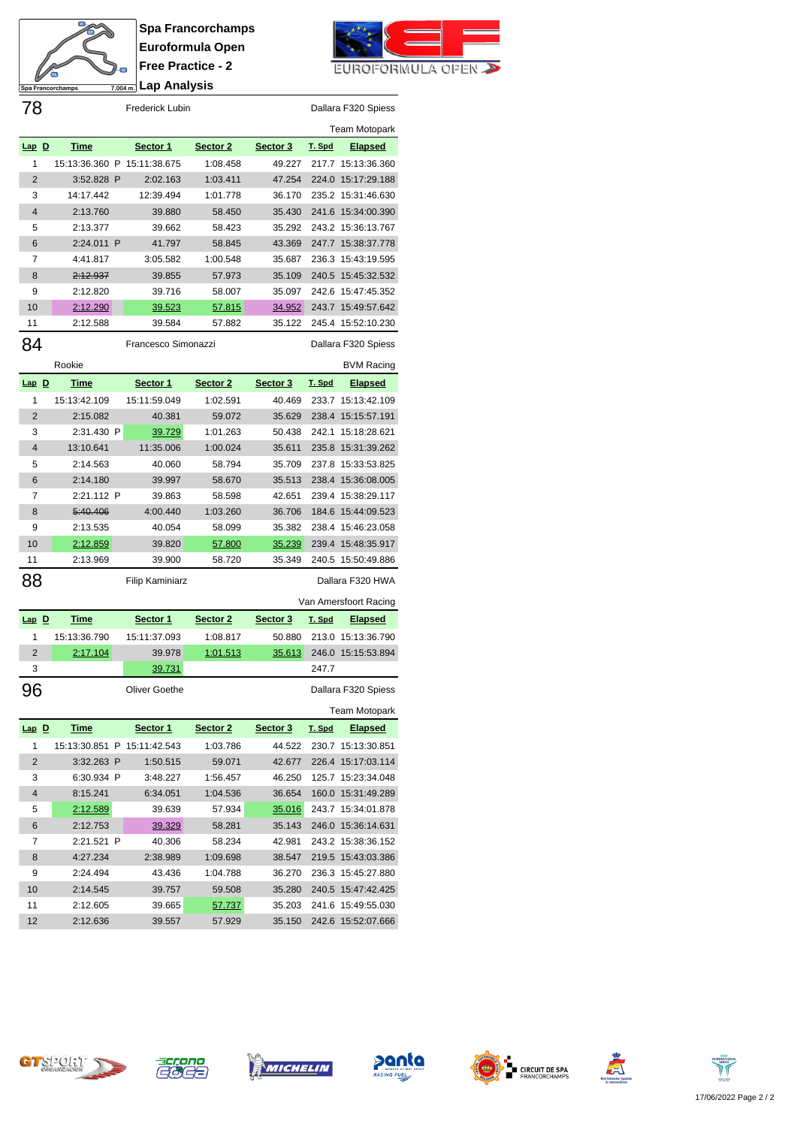

**Spa Francorchamps Euroformula Open Free Practice - 2 Lap Analysis**



| 78             |                     |  | Frederick Lubin             |                     |               |        | Dallara F320 Spiess   |
|----------------|---------------------|--|-----------------------------|---------------------|---------------|--------|-----------------------|
|                |                     |  |                             |                     |               |        | Team Motopark         |
| $Lap$ D        | <b>Time</b>         |  | Sector 1                    | Sector 2            | Sector 3      | T. Spd | <b>Elapsed</b>        |
| 1              |                     |  | 15:13:36.360 P 15:11:38.675 | 1:08.458            | 49.227        |        | 217.7 15:13:36.360    |
| $\overline{2}$ | 3:52.828 P          |  | 2:02.163                    | 1:03.411            | 47.254        |        | 224.0 15:17:29.188    |
| 3              | 14:17.442           |  | 12:39.494                   | 1:01.778            | 36.170        |        | 235.2 15:31:46.630    |
| 4              | 2:13.760            |  | 39.880                      | 58.450              | 35.430        |        | 241.6 15:34:00.390    |
| 5              | 2:13.377            |  | 39.662                      | 58.423              | 35.292        |        | 243.2 15:36:13.767    |
| 6              | 2:24.011 P          |  | 41.797                      | 58.845              | 43.369        |        | 247.7 15:38:37.778    |
| 7              | 4:41.817            |  | 3:05.582                    | 1:00.548            | 35.687        | 236.3  | 15:43:19.595          |
| 8              | <del>2:12.937</del> |  | 39.855                      | 57.973              | 35.109        |        | 240.5 15:45:32.532    |
| 9              | 2:12.820            |  | 39.716                      | 58.007              | 35.097        | 242.6  | 15:47:45.352          |
| 10             | <u>2:12.290</u>     |  | <u>39.523</u>               | <u>57.815</u>       | <u>34.952</u> |        | 243.7 15:49:57.642    |
| 11             | 2:12.588            |  | 39.584                      | 57.882              | 35.122        | 245.4  | 15:52:10.230          |
| 84             |                     |  | Francesco Simonazzi         |                     |               |        | Dallara F320 Spiess   |
|                |                     |  |                             |                     |               |        |                       |
|                | Rookie              |  |                             |                     |               |        | <b>BVM Racing</b>     |
| $Lap$ $D$      | <u>Time</u>         |  | Sector 1                    | Sector <sub>2</sub> | Sector 3      | T. Spd | <b>Elapsed</b>        |
| 1              | 15:13:42.109        |  | 15:11:59.049                | 1:02.591            | 40.469        | 233.7  | 15:13:42.109          |
| 2              | 2:15.082            |  | 40.381                      | 59.072              | 35.629        | 238.4  | 15:15:57.191          |
| 3              | 2:31.430 P          |  | 39.729                      | 1:01.263            | 50.438        | 242.1  | 15:18:28.621          |
| 4              | 13:10.641           |  | 11:35.006                   | 1:00.024            | 35.611        | 235.8  | 15:31:39.262          |
| 5              | 2:14.563            |  | 40.060                      | 58.794              | 35.709        | 237.8  | 15:33:53.825          |
| 6              | 2:14.180            |  | 39.997                      | 58.670              | 35.513        | 238.4  | 15:36:08.005          |
| 7              | 2:21.112 P          |  | 39.863                      | 58.598              | 42.651        |        | 239.4 15:38:29.117    |
| 8              | 5:40.406            |  | 4:00.440                    | 1:03.260            | 36.706        | 184.6  | 15:44:09.523          |
| 9              | 2:13.535            |  | 40.054                      | 58.099              | 35.382        | 238.4  | 15:46:23.058          |
| 10             | 2:12.859            |  | 39.820                      | 57.800              | 35.239        | 239.4  | 15:48:35.917          |
| 11             | 2:13.969            |  | 39.900                      | 58.720              | 35.349        |        | 240.5 15:50:49.886    |
| 88             |                     |  | <b>Filip Kaminiarz</b>      |                     |               |        | Dallara F320 HWA      |
|                |                     |  |                             |                     |               |        | Van Amersfoort Racing |
| $Lap$ $D$      | <b>Time</b>         |  | Sector 1                    | Sector <sub>2</sub> | Sector 3      | T. Spd | <b>Elapsed</b>        |
| 1              | 15:13:36.790        |  | 15:11:37.093                | 1:08.817            | 50.880        | 213.0  | 15:13:36.790          |
| $\overline{2}$ | 2:17.104            |  | 39.978                      | <u>1:01.513</u>     | 35.613        | 246.0  | 15:15:53.894          |
| 3              |                     |  | 39.731                      |                     |               | 247.7  |                       |
|                |                     |  |                             |                     |               |        |                       |
| 96             |                     |  | <b>Oliver Goethe</b>        |                     |               |        | Dallara F320 Spiess   |
|                |                     |  |                             |                     |               |        | <b>Team Motopark</b>  |
| $Lap$ $D$      | <u>Time</u>         |  | Sector 1                    | Sector 2            | Sector 3      | T. Spd | <b>Elapsed</b>        |
| 1              |                     |  | 15:13:30.851 P 15:11:42.543 | 1:03.786            | 44.522        |        | 230.7 15:13:30.851    |
| 2              | 3:32.263 P          |  | 1:50.515                    | 59.071              | 42.677        | 226.4  | 15:17:03.114          |
| 3              | 6:30.934 P          |  | 3:48.227                    | 1:56.457            | 46.250        |        | 125.7 15:23:34.048    |
| 4              | 8:15.241            |  | 6:34.051                    | 1:04.536            | 36.654        |        | 160.0 15:31:49.289    |
| 5              | <u>2:12.589</u>     |  | 39.639                      | 57.934              | 35.016        | 243.7  | 15:34:01.878          |
| 6              | 2:12.753            |  | <u>39.329</u>               | 58.281              | 35.143        | 246.0  | 15:36:14.631          |
| 7              | 2:21.521 P          |  | 40.306                      | 58.234              | 42.981        |        | 243.2 15:38:36.152    |
| 8              | 4:27.234            |  | 2:38.989                    | 1:09.698            | 38.547        |        | 219.5 15:43:03.386    |
| 9              | 2:24.494            |  | 43.436                      | 1:04.788            | 36.270        |        | 236.3 15:45:27.880    |
| 10             | 2:14.545            |  | 39.757                      | 59.508              | 35.280        |        | 240.5 15:47:42.425    |
| 11             | 2:12.605            |  | 39.665                      | <u>57.737</u>       | 35.203        |        | 241.6 15:49:55.030    |
| 12             | 2:12.636            |  | 39.557                      | 57.929              | 35.150        |        | 242.6 15:52:07.666    |













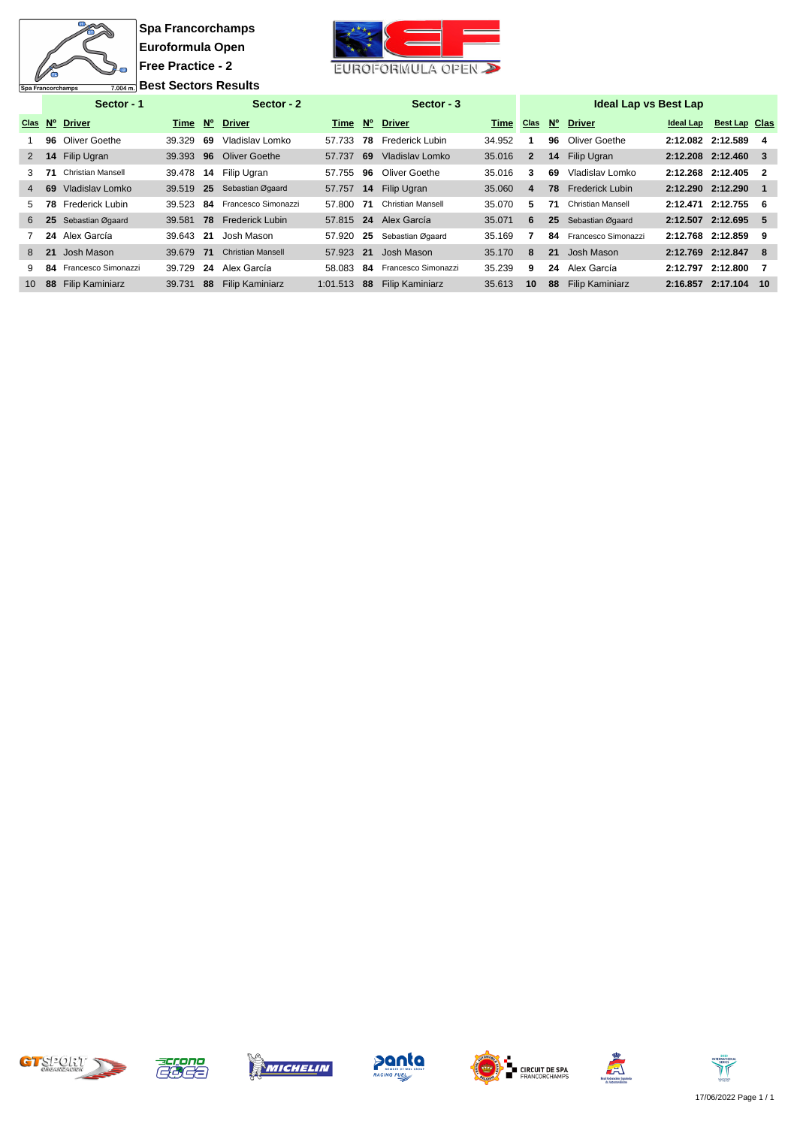

**Spa Francorchamps Euroformula Open Free Practice - 2 Best Sectors Results** 



|                 |     | Sector - 1                |         |      | Sector - 2               |          |     | Sector - 3               |        |              |                 | <b>Ideal Lap vs Best Lap</b> |           |                      |     |
|-----------------|-----|---------------------------|---------|------|--------------------------|----------|-----|--------------------------|--------|--------------|-----------------|------------------------------|-----------|----------------------|-----|
| <b>Clas</b>     |     | N° Driver                 | Time N° |      | <b>Driver</b>            | Time     |     | Nº Driver                | Time   | <b>Clas</b>  | N°              | <b>Driver</b>                | Ideal Lap | <b>Best Lap Clas</b> |     |
|                 |     | 96 Oliver Goethe          | 39.329  | 69   | Vladislav Lomko          | 57.733   | 78  | Frederick Lubin          | 34.952 |              | 96              | Oliver Goethe                |           | 2:12.082 2:12.589    | 4   |
| $\overline{2}$  |     | 14 Filip Ugran            | 39.393  | 96   | <b>Oliver Goethe</b>     | 57.737   | 69  | Vladislav Lomko          | 35.016 | $\mathbf{2}$ | 14              | Filip Ugran                  |           | 2:12.208 2:12.460    | - 3 |
| 3               | -71 | Christian Mansell         | 39.478  | 14   | Filip Ugran              | 57.755   | 96  | Oliver Goethe            | 35.016 | 3            | 69              | Vladislav Lomko              |           | 2:12.268 2:12.405    | - 2 |
| $\overline{4}$  | 69  | Vladislav Lomko           | 39.519  | 25   | Sebastian Øgaard         | 57.757   |     | 14 Filip Ugran           | 35.060 | 4            | 78              | <b>Frederick Lubin</b>       |           | 2:12.290 2:12.290    |     |
| 5.              |     | <b>78</b> Frederick Lubin | 39.523  | 84   | Francesco Simonazzi      | 57.800   | -71 | <b>Christian Mansell</b> | 35.070 | 5            | 71              | <b>Christian Mansell</b>     |           | 2:12.471 2:12.755    | -6  |
| 6               |     | 25 Sebastian Øgaard       | 39.581  | 78   | <b>Frederick Lubin</b>   |          |     | 57.815 24 Alex García    | 35.071 | 6            | 25 <sub>2</sub> | Sebastian Øgaard             |           | 2:12.507 2:12.695    | -5  |
|                 |     | 24 Alex García            | 39.643  | - 21 | Josh Mason               | 57.920   | -25 | Sebastian Øgaard         | 35.169 |              | 84              | Francesco Simonazzi          | 2:12.768  | 2:12.859             | 9   |
| 8               | 21  | Josh Mason                | 39.679  | - 71 | <b>Christian Mansell</b> | 57.923   | -21 | Josh Mason               | 35.170 | 8            | 21              | Josh Mason                   |           | 2:12.769 2:12.847    | -8  |
| 9               |     | 84 Francesco Simonazzi    | 39.729  | 24   | Alex García              | 58.083   | -84 | Francesco Simonazzi      | 35.239 | 9            | 24              | Alex García                  | 2:12.797  | 2:12.800             |     |
| 10 <sup>°</sup> | 88  | <b>Filip Kaminiarz</b>    | 39.731  | 88   | <b>Filip Kaminiarz</b>   | 1:01.513 | -88 | <b>Filip Kaminiarz</b>   | 35.613 | 10           | 88              | <b>Filip Kaminiarz</b>       |           | 2:16.857 2:17.104    | 10  |













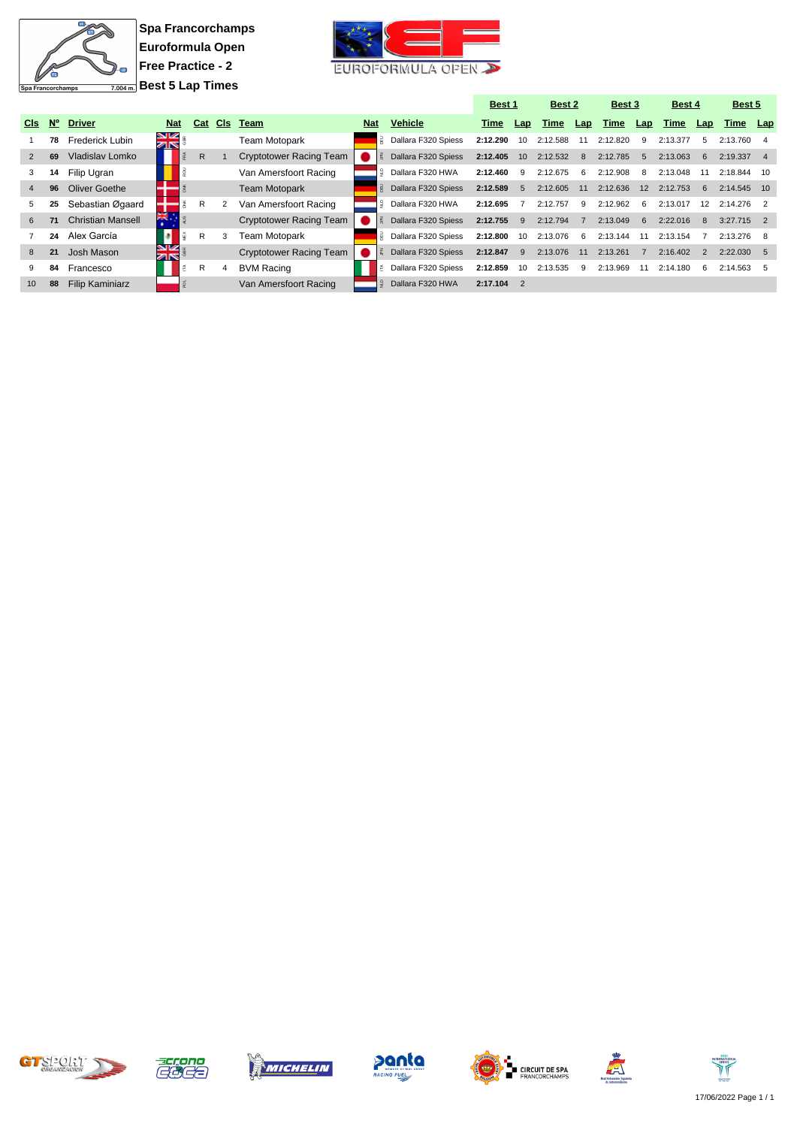

**Spa Francorchamps Euroformula Open Free Practice - 2 Best 5 Lap Times**



|                 |           |                          |                 |         |                |                         |            |                     | Best 1   |                | Best 2   |     | Best 3   |                | Best 4   |     | Best 5       |     |
|-----------------|-----------|--------------------------|-----------------|---------|----------------|-------------------------|------------|---------------------|----------|----------------|----------|-----|----------|----------------|----------|-----|--------------|-----|
| <b>CIs</b>      | <b>N°</b> | <b>Driver</b>            | <b>Nat</b>      | Cat     | CIs            | Team                    | <b>Nat</b> | <b>Vehicle</b>      | Time     | Lap            | Time     | Lap | Time     | Lap            | Time     | Lap | Time         | Lap |
|                 | 78        | <b>Frederick Lubin</b>   | <b>SV</b><br>ZK |         |                | Team Motopark           |            | Dallara F320 Spiess | 2:12.290 | 10             | 2:12.588 |     | 2:12.820 | 9              | 2:13.377 | 5   | 2:13.760     |     |
| $\overline{2}$  | 69        | Vladislav Lomko          |                 | R.      |                | Cryptotower Racing Team |            | Dallara F320 Spiess | 2:12.405 | 10             | 2:12.532 | -8  | 2:12.785 | $\overline{5}$ | 2:13.063 | 6   | 2:19.337     |     |
| 3               | 14        | Filip Ugran              |                 |         |                | Van Amersfoort Racing   |            | Dallara F320 HWA    | 2:12.460 | -9             | 2:12.675 | 6   | 2:12.908 | -8             | 2:13.048 |     | 2:18.844     | 10  |
| 4               | 96        | Oliver Goethe            |                 |         |                | <b>Team Motopark</b>    |            | Dallara F320 Spiess | 2:12.589 | 5              | 2:12.605 | 11  | 2:12.636 | 12             | 2:12.753 | 6   | 2:14.545 10  |     |
| 5.              | 25        | Sebastian Øgaard         |                 | R       | $\overline{2}$ | Van Amersfoort Racing   |            | Dallara F320 HWA    | 2:12.695 |                | 2:12.757 | -9  | 2:12.962 | -6             | 2:13.017 | 12  | 2:14.276     |     |
| 6               | 71        | <b>Christian Mansell</b> | i<br>XK         |         |                | Cryptotower Racing Team |            | Dallara F320 Spiess | 2:12.755 | -9             | 2:12.794 |     | 2:13.049 | 6              | 2:22.016 | 8   | $3:27.715$ 2 |     |
|                 | 24        | Alex García              | B               | R       | 3              | <b>Team Motopark</b>    |            | Dallara F320 Spiess | 2:12.800 | 10             | 2:13.076 | -6  | 2:13.144 | 11             | 2:13.154 |     | $2:13.276$ 8 |     |
| 8               | 21        | Josh Mason               | NZ<br>ZR.       |         |                | Cryptotower Racing Team |            | Dallara F320 Spiess | 2:12.847 | 9              | 2:13.076 | 11  | 2:13.261 |                | 2:16.402 | 2   | $2:22.030$ 5 |     |
| 9               | 84        | Francesco                |                 | R<br>١Ě | 4              | <b>BVM Racing</b>       |            | Dallara F320 Spiess | 2:12.859 | 10             | 2:13.535 | -9  | 2:13.969 | 11             | 2:14.180 | 6   | 2:14.563     |     |
| 10 <sup>1</sup> | 88        | <b>Filip Kaminiarz</b>   |                 |         |                | Van Amersfoort Racing   | ۱£         | Dallara F320 HWA    | 2:17.104 | $\overline{2}$ |          |     |          |                |          |     |              |     |













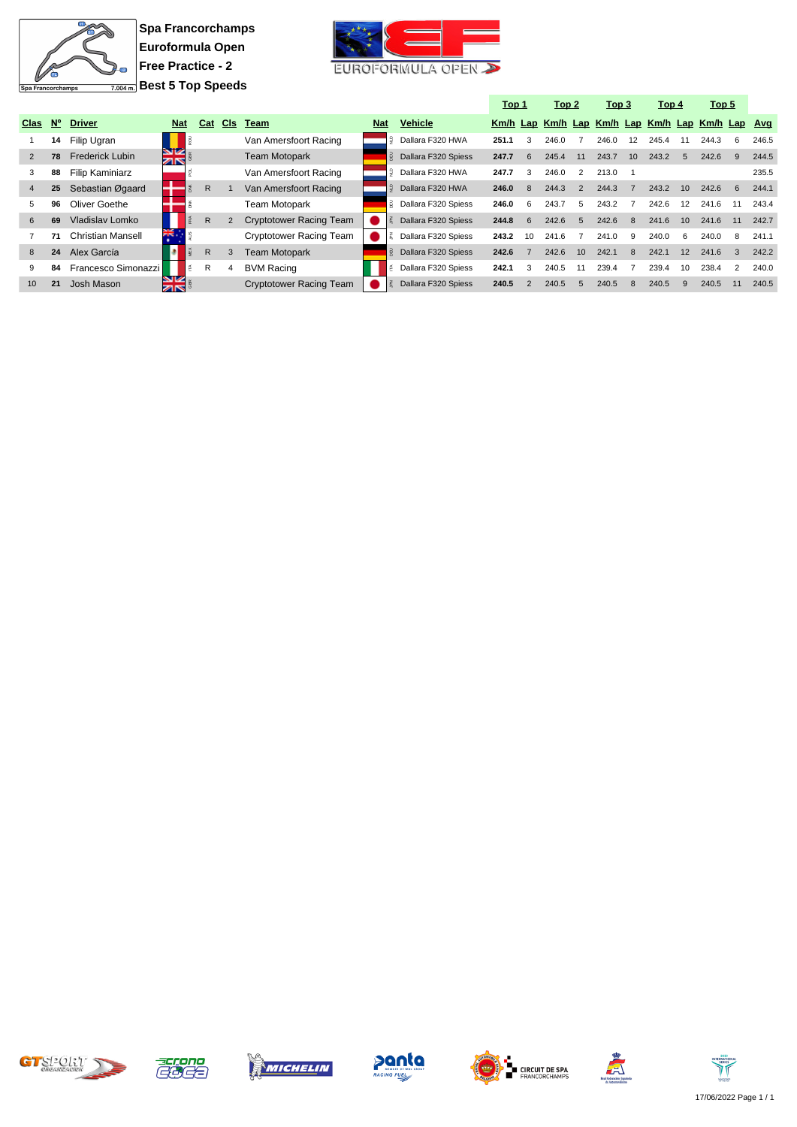

**Spa Francorchamps Euroformula Open Free Practice - 2 Best 5 Top Speeds**



|                |             |                          |                  |              |     |                                |            |                     | Top 1 |               | Top 2 |               | Top 3                                            |    | Top 4 |     | Top 5 |           |       |
|----------------|-------------|--------------------------|------------------|--------------|-----|--------------------------------|------------|---------------------|-------|---------------|-------|---------------|--------------------------------------------------|----|-------|-----|-------|-----------|-------|
| Clas           | $N^{\circ}$ | <b>Driver</b>            | <b>Nat</b>       | Cat          | CIs | Team                           | <b>Nat</b> | <b>Vehicle</b>      |       |               |       |               | Km/h Lap Km/h Lap Km/h Lap Km/h Lap Km/h Lap Avg |    |       |     |       |           |       |
|                | 14          | Filip Ugran              |                  |              |     | Van Amersfoort Racing          |            | Dallara F320 HWA    | 251.1 | 3             | 246.0 |               | 246.0                                            | 12 | 245.4 |     | 244.3 | 6         | 246.5 |
| 2              | 78          | <b>Frederick Lubin</b>   | NZ<br>ZK         |              |     | <b>Team Motopark</b>           |            | Dallara F320 Spiess | 247.7 | 6             | 245.4 | 11            | 243.7                                            | 10 | 243.2 | 5   | 242.6 | 9         | 244.5 |
| 3              | 88          | Filip Kaminiarz          |                  |              |     | Van Amersfoort Racing          |            | Dallara F320 HWA    | 247.7 | 3             | 246.0 | 2             | 213.0                                            |    |       |     |       |           | 235.5 |
| $\overline{4}$ | 25          | Sebastian Øgaard         |                  | R            |     | Van Amersfoort Racing          |            | Dallara F320 HWA    | 246.0 | 8             | 244.3 | $\mathcal{P}$ | 244.3                                            |    | 243.2 | 10  | 242.6 | <b>6</b>  | 244.1 |
| 5              | 96          | Oliver Goethe            |                  |              |     | <b>Team Motopark</b>           |            | Dallara F320 Spiess | 246.0 | 6             | 243.7 | 5             | 243.2                                            |    | 242.6 | 12  | 241.6 | 11        | 243.4 |
| 6              | 69          | Vladislav Lomko          |                  | R            |     | <b>Cryptotower Racing Team</b> |            | Dallara F320 Spiess | 244.8 | 6             | 242.6 | 5             | 242.6                                            | 8  | 241.6 | 10  | 241.6 | 11        | 242.7 |
|                | 71          | <b>Christian Mansell</b> | жĶ.              |              |     | Cryptotower Racing Team        |            | Dallara F320 Spiess | 243.2 | 10            | 241.6 |               | 241.0                                            | 9  | 240.0 | - 6 | 240.0 | -8        | 241.1 |
| 8              | 24          | Alex García              |                  | $\mathsf{R}$ |     | <b>Team Motopark</b>           |            | Dallara F320 Spiess | 242.6 |               | 242.6 | 10            | 242.1                                            | 8  | 242.1 | 12  | 241.6 | $\cdot$ 3 | 242.2 |
| 9              | 84          | Francesco Simonazzi      |                  | R            |     | <b>BVM Racing</b>              |            | Dallara F320 Spiess | 242.1 | 3             | 240.5 | 11            | 239.4                                            |    | 239.4 | 10  | 238.4 | 2         | 240.0 |
| 10             | 21          | Josh Mason               | <b>NIZ</b><br>≠া |              |     | <b>Cryptotower Racing Team</b> |            | Dallara F320 Spiess | 240.5 | $\mathcal{P}$ | 240.5 | 5             | 240.5                                            | 8  | 240.5 | 9   | 240.5 | 11        | 240.5 |













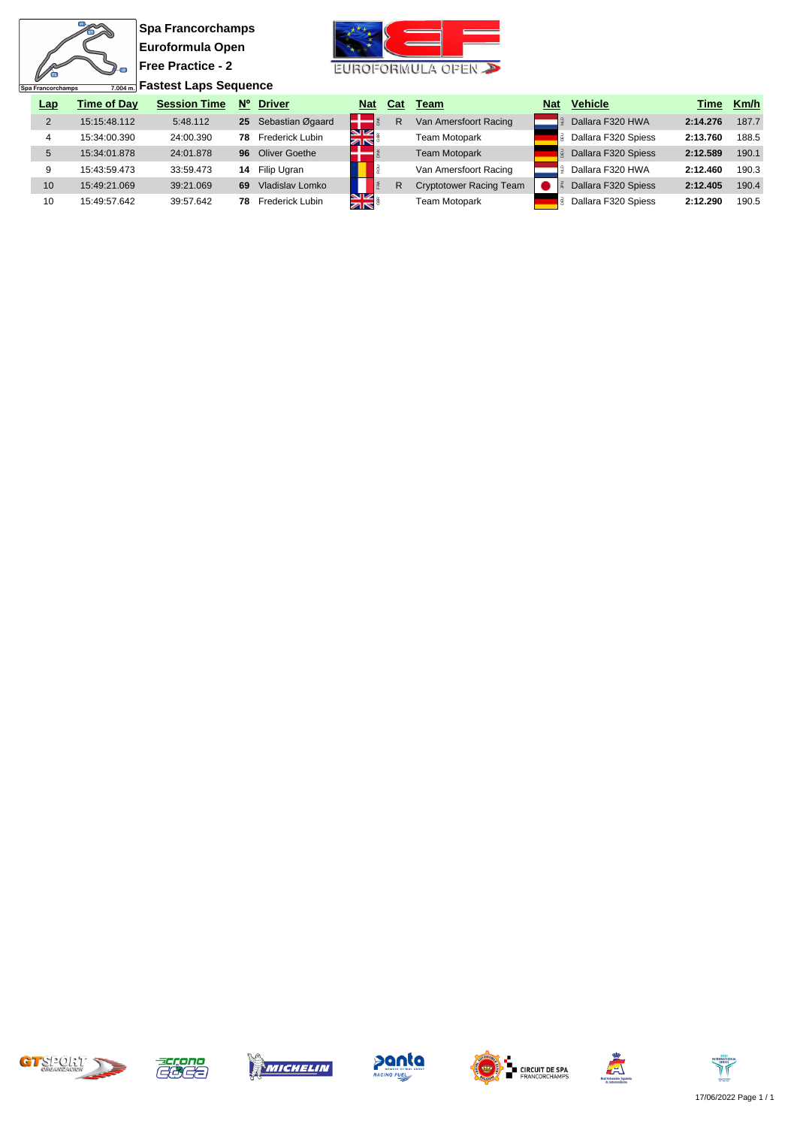$\overline{\mathbf{u}}$ 衙  $\overline{2}$ Spa Francorchamps

**Spa Francorchamps Euroformula Open Free Practice - 2 Fastest Laps Sequence**



| <b>Lap</b> | <b>Time of Dav</b> | <b>Session Time</b> | $N^{\circ}$     | <b>Driver</b>    | <b>Nat</b>         | Cat | Team                           | <b>Nat</b> | <b>Vehicle</b>      | Time     | Km/h  |
|------------|--------------------|---------------------|-----------------|------------------|--------------------|-----|--------------------------------|------------|---------------------|----------|-------|
|            | 15:15:48.112       | 5:48.112            | 25 <sub>2</sub> | Sebastian Øgaard |                    | R   | Van Amersfoort Racing          |            | Dallara F320 HWA    | 2:14.276 | 187.7 |
|            | 15:34:00.390       | 24:00.390           | 78              | Frederick Lubin  | ম<br>সাহ           |     | Team Motopark                  |            | Dallara F320 Spiess | 2:13.760 | 188.5 |
|            | 15:34:01.878       | 24:01.878           | 96              | Oliver Goethe    |                    |     | <b>Team Motopark</b>           |            | Dallara F320 Spiess | 2:12.589 | 190.1 |
|            | 15:43:59.473       | 33:59.473           | 14              | Filip Ugran      |                    |     | Van Amersfoort Racing          |            | Dallara F320 HWA    | 2:12.460 | 190.3 |
| 10         | 15:49:21.069       | 39:21.069           | 69              | Vladislav Lomko  |                    | R   | <b>Cryptotower Racing Team</b> |            | Dallara F320 Spiess | 2:12.405 | 190.4 |
| 10         | 15:49:57.642       | 39:57.642           | 78.             | Frederick Lubin  | V<br><b>Zalice</b> |     | Team Motopark                  |            | Dallara F320 Spiess | 2:12.290 | 190.5 |













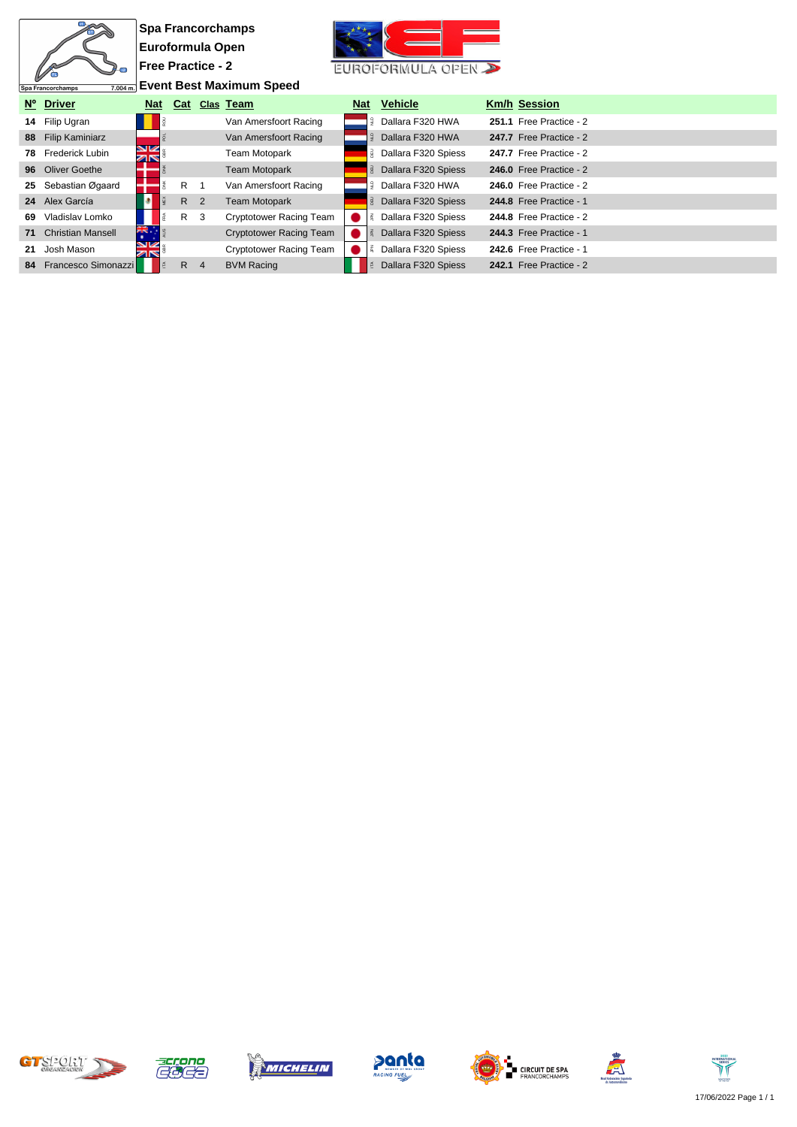|    |                               |                          |     |                | <b>Spa Francorchamps</b>        |            |                     |                         |
|----|-------------------------------|--------------------------|-----|----------------|---------------------------------|------------|---------------------|-------------------------|
|    |                               | Euroformula Open         |     |                |                                 |            |                     |                         |
|    | $\mathbb{R}$                  | <b>Free Practice - 2</b> |     |                |                                 |            | EUROFORMULA OPEN    |                         |
|    | 7.004 m.<br>Spa Francorchamps |                          |     |                | <b>Event Best Maximum Speed</b> |            |                     |                         |
|    | Nº Driver                     | <b>Nat</b>               |     |                | Cat Clas Team                   | <b>Nat</b> | <b>Vehicle</b>      | <b>Km/h Session</b>     |
|    | 14 Filip Ugran                |                          |     |                | Van Amersfoort Racing           |            | Dallara F320 HWA    | 251.1 Free Practice - 2 |
|    | 88 Filip Kaminiarz            |                          |     |                | Van Amersfoort Racing           |            | Dallara F320 HWA    | 247.7 Free Practice - 2 |
| 78 | Frederick Lubin               | ম<br>সূহ                 |     |                | Team Motopark                   |            | Dallara F320 Spiess | 247.7 Free Practice - 2 |
|    | 96 Oliver Goethe              |                          |     |                | <b>Team Motopark</b>            |            | Dallara F320 Spiess | 246.0 Free Practice - 2 |
| 25 | Sebastian Øgaard              |                          | R   |                | Van Amersfoort Racing           |            | Dallara F320 HWA    | 246.0 Free Practice - 2 |
|    | 24 Alex García                |                          | R 2 |                | <b>Team Motopark</b>            |            | Dallara F320 Spiess | 244.8 Free Practice - 1 |
| 69 | Vladislav Lomko               |                          | R.  | -3             | <b>Cryptotower Racing Team</b>  |            | Dallara F320 Spiess | 244.8 Free Practice - 2 |
| 71 | <b>Christian Mansell</b>      | <b>ZIN .</b>             |     |                | <b>Cryptotower Racing Team</b>  |            | Dallara F320 Spiess | 244.3 Free Practice - 1 |
| 21 | Josh Mason                    | NK<br>ar                 |     |                | <b>Cryptotower Racing Team</b>  |            | Dallara F320 Spiess | 242.6 Free Practice - 1 |
|    | 84 Francesco Simonazzi        |                          | R.  | $\overline{4}$ | <b>BVM Racing</b>               |            | Dallara F320 Spiess | 242.1 Free Practice - 2 |













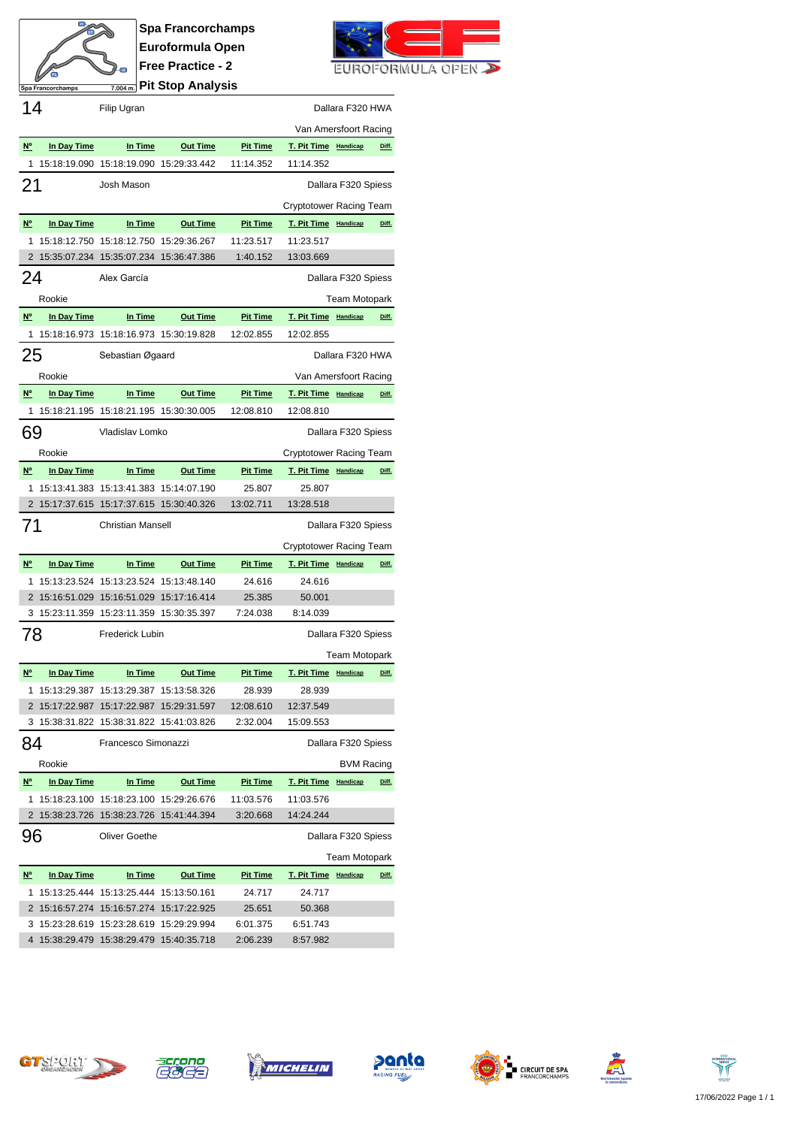

**Spa Francorchamps Euroformula Open Free Practice - 2 Pit Stop Analysis**



| 14                                    |              | Filip Ugran                                                                          |                 |                     |                                | Dallara F320 HWA     |       |
|---------------------------------------|--------------|--------------------------------------------------------------------------------------|-----------------|---------------------|--------------------------------|----------------------|-------|
|                                       |              |                                                                                      |                 |                     | Van Amersfoort Racing          |                      |       |
| $N^{\circ}$                           | In Day Time  | In Time                                                                              | <b>Out Time</b> | <b>Pit Time</b>     | T. Pit Time Handicap           |                      | Diff. |
| 1                                     |              | 15:18:19.090 15:18:19.090 15:29:33.442                                               |                 | 11:14.352           | 11:14.352                      |                      |       |
| 21                                    |              | Josh Mason                                                                           |                 |                     |                                | Dallara F320 Spiess  |       |
|                                       |              |                                                                                      |                 |                     | Cryptotower Racing Team        |                      |       |
| N <sup>o</sup>                        | In Day Time  | In Time                                                                              | <b>Out Time</b> | <b>Pit Time</b>     | T. Pit Time Handicap           |                      | Diff. |
| 1                                     | 15:18:12.750 | 15:18:12.750 15:29:36.267                                                            |                 | 11:23.517           | 11:23.517                      |                      |       |
| 2                                     |              | 15:35:07.234 15:35:07.234 15:36:47.386                                               |                 | 1:40.152            | 13:03.669                      |                      |       |
| 24                                    |              | Alex García                                                                          |                 |                     |                                | Dallara F320 Spiess  |       |
|                                       | Rookie       |                                                                                      |                 |                     |                                | <b>Team Motopark</b> |       |
| N°                                    | In Day Time  | In Time                                                                              | <b>Out Time</b> | <b>Pit Time</b>     | T. Pit Time Handicap           |                      | Diff. |
| 1                                     |              | 15:18:16.973 15:18:16.973 15:30:19.828                                               |                 | 12:02.855           | 12:02.855                      |                      |       |
| 25                                    |              | Sebastian Øgaard                                                                     |                 |                     |                                | Dallara F320 HWA     |       |
|                                       | Rookie       |                                                                                      |                 |                     | Van Amersfoort Racing          |                      |       |
| N°                                    | In Day Time  | In Time                                                                              | <b>Out Time</b> | <b>Pit Time</b>     | T. Pit Time Handicap           |                      | Diff. |
| 1                                     |              | 15:18:21.195 15:18:21.195 15:30:30.005                                               |                 | 12:08.810           | 12:08.810                      |                      |       |
| 69                                    |              | Vladislav Lomko                                                                      |                 |                     |                                | Dallara F320 Spiess  |       |
|                                       |              |                                                                                      |                 |                     |                                |                      |       |
|                                       | Rookie       |                                                                                      |                 |                     | <b>Cryptotower Racing Team</b> |                      |       |
| N <sup>o</sup>                        | In Day Time  | In Time                                                                              | <b>Out Time</b> | <b>Pit Time</b>     | T. Pit Time Handicap           |                      | Diff. |
| 1                                     |              | 15:13:41.383  15:13:41.383  15:14:07.190<br>2 15:17:37.615 15:17:37.615 15:30:40.326 |                 | 25.807<br>13:02.711 | 25.807<br>13:28.518            |                      |       |
|                                       |              |                                                                                      |                 |                     |                                |                      |       |
| 71                                    |              | <b>Christian Mansell</b>                                                             |                 |                     |                                | Dallara F320 Spiess  |       |
|                                       |              |                                                                                      |                 |                     |                                |                      |       |
|                                       |              |                                                                                      |                 |                     | Cryptotower Racing Team        |                      |       |
| $N^{\circ}$                           | In Day Time  | In Time                                                                              | <b>Out Time</b> | <b>Pit Time</b>     | T. Pit Time Handicap           |                      | Diff. |
| 1                                     |              | 15:13:23.524 15:13:23.524 15:13:48.140                                               |                 | 24.616              | 24.616                         |                      |       |
| 2                                     |              | 15:16:51.029  15:16:51.029  15:17:16.414                                             |                 | 25.385              | 50.001                         |                      |       |
|                                       |              | 3 15:23:11.359 15:23:11.359 15:30:35.397                                             |                 | 7:24.038            | 8:14.039                       |                      |       |
| 78                                    |              | <b>Frederick Lubin</b>                                                               |                 |                     |                                | Dallara F320 Spiess  |       |
|                                       |              |                                                                                      |                 |                     |                                | <b>Team Motopark</b> |       |
| N <sup>o</sup>                        | In Day Time  | In Time                                                                              | <b>Out Time</b> | <b>Pit Time</b>     | T. Pit Time Handicap           |                      | Diff. |
| 1                                     |              |                                                                                      |                 | 28.939              | 28.939                         |                      |       |
|                                       |              | 2 15:17:22.987 15:17:22.987 15:29:31.597                                             |                 | 12:08.610           | 12:37.549                      |                      |       |
|                                       |              | 3 15:38:31.822 15:38:31.822 15:41:03.826                                             |                 | 2:32.004            | 15:09.553                      |                      |       |
| 84                                    |              | Francesco Simonazzi                                                                  |                 |                     |                                | Dallara F320 Spiess  |       |
|                                       | Rookie       |                                                                                      |                 |                     |                                | <b>BVM Racing</b>    |       |
| $\underline{\mathsf{N}^{\mathsf{o}}}$ | In Day Time  | In Time                                                                              | <b>Out Time</b> | <b>Pit Time</b>     | T. Pit Time Handicap           |                      | Diff. |
| 1                                     |              | 15:18:23.100 15:18:23.100 15:29:26.676                                               |                 | 11:03.576           | 11:03.576                      |                      |       |
| 2                                     | 15:38:23.726 | 15:38:23.726                                                                         | 15:41:44.394    | 3:20.668            | 14:24.244                      |                      |       |
| 96                                    |              | Oliver Goethe                                                                        |                 |                     |                                | Dallara F320 Spiess  |       |
|                                       |              |                                                                                      |                 |                     |                                | <b>Team Motopark</b> |       |
| $\underline{\mathsf{N}^{\mathsf{o}}}$ | In Day Time  | In Time                                                                              | <b>Out Time</b> | <b>Pit Time</b>     | T. Pit Time Handicap           |                      | Diff. |
| 1                                     |              | 15:13:25.444 15:13:25.444 15:13:50.161                                               |                 | 24.717              | 24.717                         |                      |       |
|                                       |              | 2 15:16:57.274 15:16:57.274 15:17:22.925                                             |                 | 25.651              | 50.368                         |                      |       |
| 3                                     |              | 15:23:28.619 15:23:28.619 15:29:29.994                                               |                 | 6:01.375            | 6:51.743                       |                      |       |













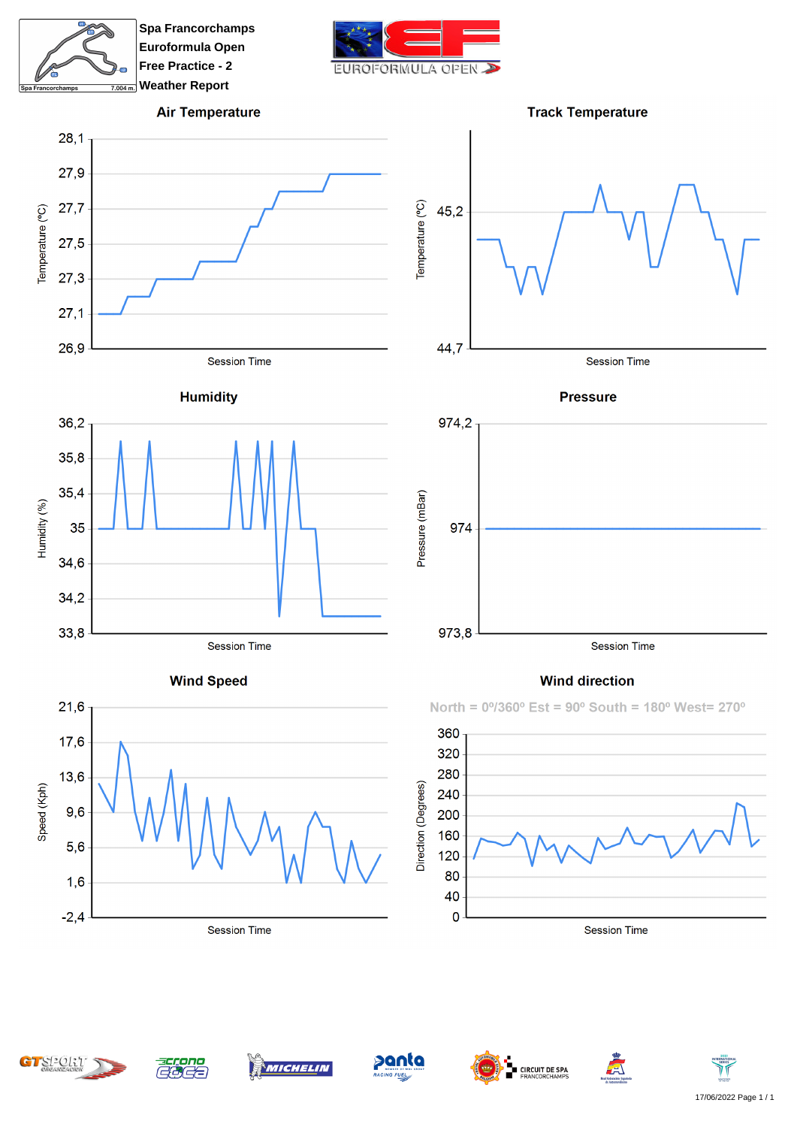

**Spa Francorchamps Euroformula Open Free Practice - 2 Weather Report**



## **Air Temperature**







**Wind Speed** 









**Wind direction** 

North = 0°/360° Est = 90° South = 180° West= 270°